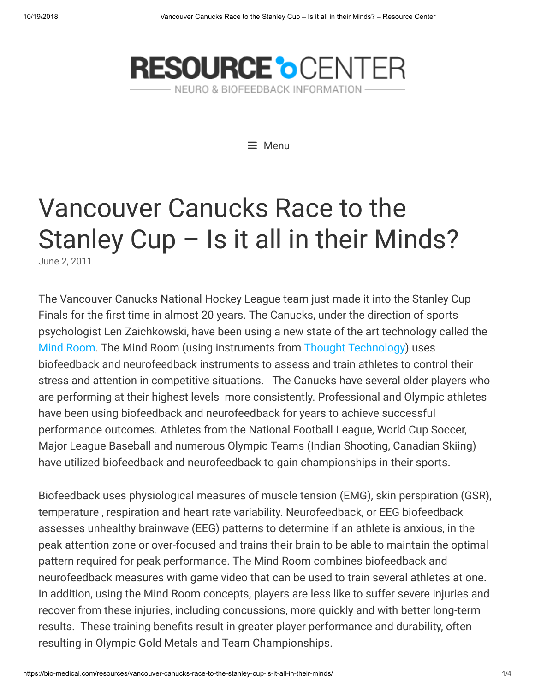

 $\equiv$  Menu

# Vancouver Canucks Race to the Stanley Cup – Is it all in their Minds?

[June 2,](https://bio-medical.com/resources/vancouver-canucks-race-to-the-stanley-cup-is-it-all-in-their-minds/) 2011

The Vancouver Canucks National Hockey League team just made it into the Stanley Cup Finals for the first time in almost 20 years. The Canucks, under the direction of sports psychologist Len Zaichkowski, have been using a new state of the art technology called the [Mind Room](http://qeegsupport.com/thinking-happy-thoughts-mindroom-in-the-works-for-canucks/#more-512). The Mind Room (using instruments from [Thought Technology\)](http://bio-medical.com/products/amshopby/?manufacturer=185) uses biofeedback and neurofeedback instruments to assess and train athletes to control their stress and attention in competitive situations. The Canucks have several older players who are performing at their highest levels more consistently. Professional and Olympic athletes have been using biofeedback and neurofeedback for years to achieve successful performance outcomes. Athletes from the National Football League, World Cup Soccer, Major League Baseball and numerous Olympic Teams (Indian Shooting, Canadian Skiing) have utilized biofeedback and neurofeedback to gain championships in their sports.

Biofeedback uses physiological measures of muscle tension (EMG), skin perspiration (GSR), temperature , respiration and heart rate variability. Neurofeedback, or EEG biofeedback assesses unhealthy brainwave (EEG) patterns to determine if an athlete is anxious, in the peak attention zone or over-focused and trains their brain to be able to maintain the optimal pattern required for peak performance. The Mind Room combines biofeedback and neurofeedback measures with game video that can be used to train several athletes at one. In addition, using the Mind Room concepts, players are less like to suffer severe injuries and recover from these injuries, including concussions, more quickly and with better long-term results. These training benefits result in greater player performance and durability, often resulting in Olympic Gold Metals and Team Championships.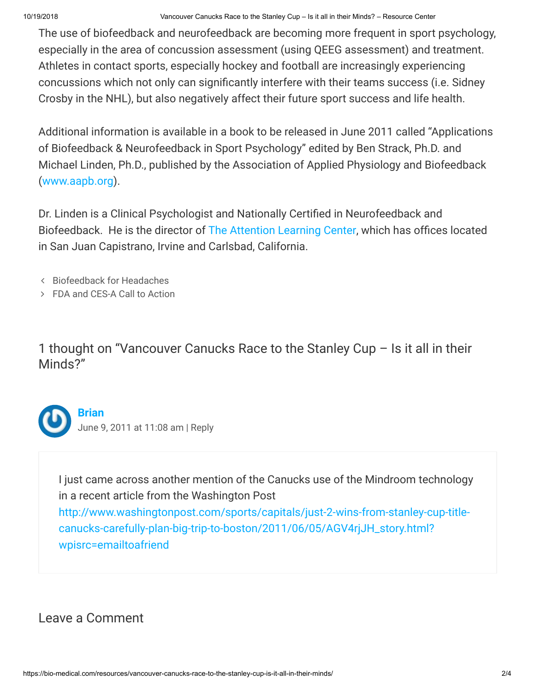10/19/2018 Vancouver Canucks Race to the Stanley Cup – Is it all in their Minds? – Resource Center

The use of biofeedback and neurofeedback are becoming more frequent in sport psychology, especially in the area of concussion assessment (using QEEG assessment) and treatment. Athletes in contact sports, especially hockey and football are increasingly experiencing concussions which not only can significantly interfere with their teams success (i.e. Sidney Crosby in the NHL), but also negatively affect their future sport success and life health.

Additional information is available in a book to be released in June 2011 called "Applications of Biofeedback & Neurofeedback in Sport Psychology" edited by Ben Strack, Ph.D. and Michael Linden, Ph.D., published by the Association of Applied Physiology and Biofeedback [\(www.aapb.org](http://www.aapb.org/)).

Dr. Linden is a Clinical Psychologist and Nationally Certified in Neurofeedback and Biofeedback. He is the director of [The Attention Learning Center,](http://mpccares.com/add.htm) which has offices located in San Juan Capistrano, Irvine and Carlsbad, California.

- [Biofeedback](https://bio-medical.com/resources/biofeedback-for-headaches-2/) for Headaches
- FDA [and CES-A](https://bio-medical.com/resources/fda-and-ces-a-call-to-action/) Call to Action

1 thought on "Vancouver Canucks Race to the Stanley Cup – Is it all in their Minds?"

<span id="page-1-0"></span>

#### **[Brian](http://bio-medical.com/)** June 9, 2011 at [11:08 am](#page-1-0) | [Reply](https://bio-medical.com/resources/vancouver-canucks-race-to-the-stanley-cup-is-it-all-in-their-minds/?replytocom=181#respond)

I just came across another mention of the Canucks use of the Mindroom technology in a recent article from the Washington Post [http://www.washingtonpost.com/sports/capitals/just-2-wins-from-stanley-cup-title](http://www.washingtonpost.com/sports/capitals/just-2-wins-from-stanley-cup-title-canucks-carefully-plan-big-trip-to-boston/2011/06/05/AGV4rjJH_story.html?wpisrc=emailtoafriend)canucks-carefully-plan-big-trip-to-boston/2011/06/05/AGV4rjJH\_story.html? wpisrc=emailtoafriend

## Leave a Comment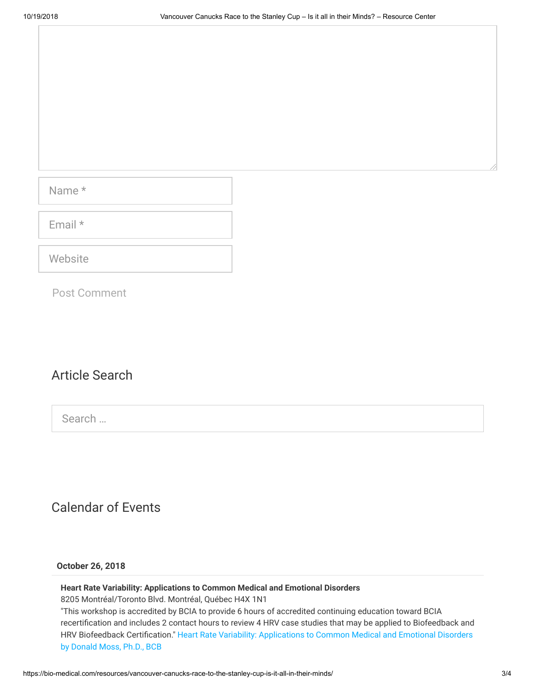Name \*

Email \*

**Website** 

Post Comment

### Article Search

Search …

## Calendar of Events

#### **October 26, 2018**

#### **Heart Rate Variability: Applications to Common Medical and Emotional Disorders**

8205 Montréal/Toronto Blvd. Montréal, Québec H4X 1N1

"This workshop is accredited by BCIA to provide 6 hours of accredited continuing education toward BCIA recertification and includes 2 contact hours to review 4 HRV case studies that may be applied to Biofeedback and HRV Biofeedback [Certification." Heart](http://thoughttechnology.com/index.php/workshops) Rate Variability: Applications to Common Medical and Emotional Disorders by Donald Moss, Ph.D., BCB